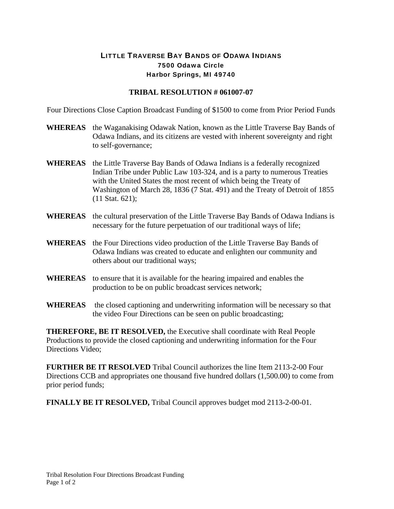## LITTLE TRAVERSE BAY BANDS OF ODAWA INDIANS 7500 Odawa Circle Harbor Springs, MI 49740

## **TRIBAL RESOLUTION # 061007-07**

Four Directions Close Caption Broadcast Funding of \$1500 to come from Prior Period Funds

- **WHEREAS** the Waganakising Odawak Nation, known as the Little Traverse Bay Bands of Odawa Indians, and its citizens are vested with inherent sovereignty and right to self-governance;
- **WHEREAS** the Little Traverse Bay Bands of Odawa Indians is a federally recognized Indian Tribe under Public Law 103-324, and is a party to numerous Treaties with the United States the most recent of which being the Treaty of Washington of March 28, 1836 (7 Stat. 491) and the Treaty of Detroit of 1855 (11 Stat. 621);
- **WHEREAS** the cultural preservation of the Little Traverse Bay Bands of Odawa Indians is necessary for the future perpetuation of our traditional ways of life;
- **WHEREAS** the Four Directions video production of the Little Traverse Bay Bands of Odawa Indians was created to educate and enlighten our community and others about our traditional ways;
- **WHEREAS** to ensure that it is available for the hearing impaired and enables the production to be on public broadcast services network;
- **WHEREAS** the closed captioning and underwriting information will be necessary so that the video Four Directions can be seen on public broadcasting;

**THEREFORE, BE IT RESOLVED,** the Executive shall coordinate with Real People Productions to provide the closed captioning and underwriting information for the Four Directions Video;

**FURTHER BE IT RESOLVED** Tribal Council authorizes the line Item 2113-2-00 Four Directions CCB and appropriates one thousand five hundred dollars (1,500.00) to come from prior period funds;

**FINALLY BE IT RESOLVED,** Tribal Council approves budget mod 2113-2-00-01.